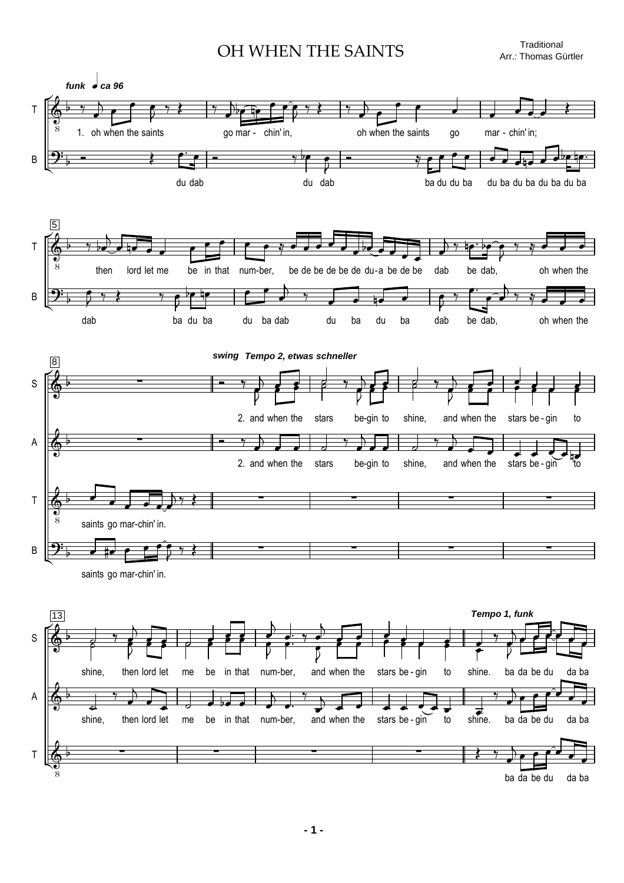OH WHEN THE SAINTS Traditional

Arr.: Thomas Gürtler